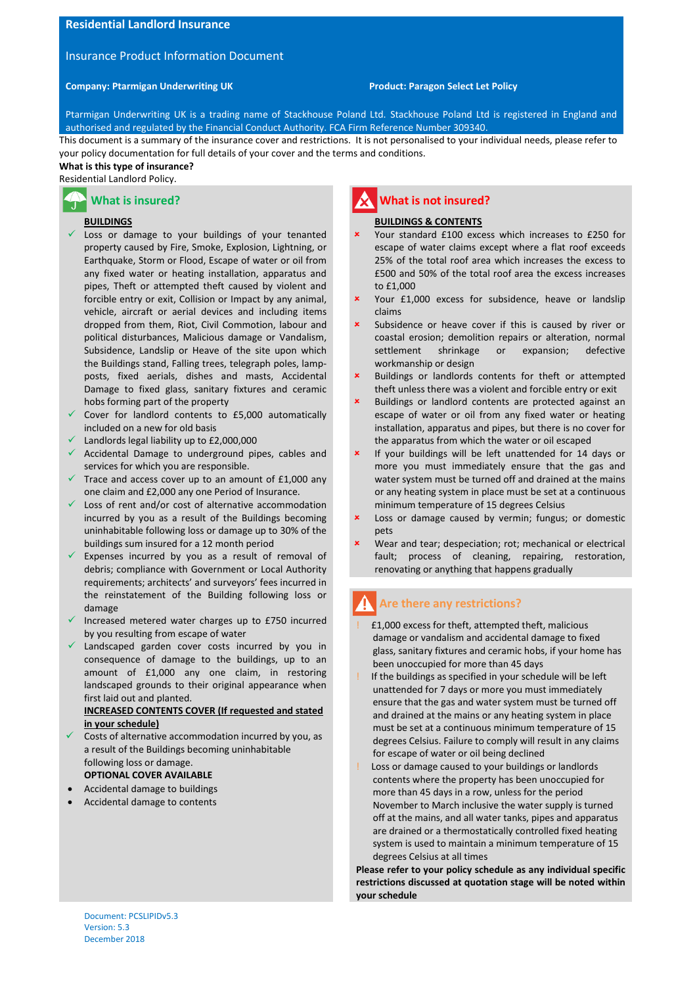## **Residential Landlord Insurance**

### Insurance Product Information Document

#### **Company: Ptarmigan Underwriting UK Product: Paragon Select Let Policy**

Ptarmigan Underwriting UK is a trading name of Stackhouse Poland Ltd. Stackhouse Poland Ltd is registered in England and authorised and regulated by the Financial Conduct Authority. FCA Firm Reference Number 309340.

This document is a summary of the insurance cover and restrictions. It is not personalised to your individual needs, please refer to your policy documentation for full details of your cover and the terms and conditions.

# **What is this type of insurance?**

# Residential Landlord Policy.

# **What is insured?**

#### **BUILDINGS**

- $\checkmark$  Loss or damage to your buildings of your tenanted property caused by Fire, Smoke, Explosion, Lightning, or Earthquake, Storm or Flood, Escape of water or oil from any fixed water or heating installation, apparatus and pipes, Theft or attempted theft caused by violent and forcible entry or exit, Collision or Impact by any animal, vehicle, aircraft or aerial devices and including items dropped from them, Riot, Civil Commotion, labour and political disturbances, Malicious damage or Vandalism, Subsidence, Landslip or Heave of the site upon which the Buildings stand, Falling trees, telegraph poles, lampposts, fixed aerials, dishes and masts, Accidental Damage to fixed glass, sanitary fixtures and ceramic hobs forming part of the property
- Cover for landlord contents to £5,000 automatically included on a new for old basis
- Landlords legal liability up to £2,000,000
- $\checkmark$  Accidental Damage to underground pipes, cables and services for which you are responsible.
- Trace and access cover up to an amount of £1,000 any one claim and £2,000 any one Period of Insurance.
- $\checkmark$  Loss of rent and/or cost of alternative accommodation incurred by you as a result of the Buildings becoming uninhabitable following loss or damage up to 30% of the buildings sum insured for a 12 month period
- $\checkmark$  Expenses incurred by you as a result of removal of debris; compliance with Government or Local Authority requirements; architects' and surveyors' fees incurred in the reinstatement of the Building following loss or damage
- $\checkmark$  Increased metered water charges up to £750 incurred by you resulting from escape of water
- $\checkmark$  Landscaped garden cover costs incurred by you in consequence of damage to the buildings, up to an amount of £1,000 any one claim, in restoring landscaped grounds to their original appearance when first laid out and planted.

#### **INCREASED CONTENTS COVER (If requested and stated in your schedule)**

- Costs of alternative accommodation incurred by you, as a result of the Buildings becoming uninhabitable following loss or damage. **OPTIONAL COVER AVAILABLE**
- Accidental damage to buildings
- Accidental damage to contents

# **What is not insured?**

#### **BUILDINGS & CONTENTS**

- Your standard £100 excess which increases to £250 for escape of water claims except where a flat roof exceeds 25% of the total roof area which increases the excess to £500 and 50% of the total roof area the excess increases to £1,000
- Your £1,000 excess for subsidence, heave or landslip claims
- Subsidence or heave cover if this is caused by river or coastal erosion; demolition repairs or alteration, normal settlement shrinkage or expansion; defective workmanship or design
- Buildings or landlords contents for theft or attempted theft unless there was a violent and forcible entry or exit
- Buildings or landlord contents are protected against an escape of water or oil from any fixed water or heating installation, apparatus and pipes, but there is no cover for the apparatus from which the water or oil escaped
- If your buildings will be left unattended for 14 days or more you must immediately ensure that the gas and water system must be turned off and drained at the mains or any heating system in place must be set at a continuous minimum temperature of 15 degrees Celsius
- Loss or damage caused by vermin; fungus; or domestic pets
- Wear and tear; despeciation; rot; mechanical or electrical fault; process of cleaning, repairing, restoration, renovating or anything that happens gradually

# **Are there any restrictions?**

- ! £1,000 excess for theft, attempted theft, malicious damage or vandalism and accidental damage to fixed glass, sanitary fixtures and ceramic hobs, if your home has been unoccupied for more than 45 days
- If the buildings as specified in your schedule will be left unattended for 7 days or more you must immediately ensure that the gas and water system must be turned off and drained at the mains or any heating system in place must be set at a continuous minimum temperature of 15 degrees Celsius. Failure to comply will result in any claims for escape of water or oil being declined
- Loss or damage caused to your buildings or landlords contents where the property has been unoccupied for more than 45 days in a row, unless for the period November to March inclusive the water supply is turned off at the mains, and all water tanks, pipes and apparatus are drained or a thermostatically controlled fixed heating system is used to maintain a minimum temperature of 15 degrees Celsius at all times

**Please refer to your policy schedule as any individual specific restrictions discussed at quotation stage will be noted within your schedule**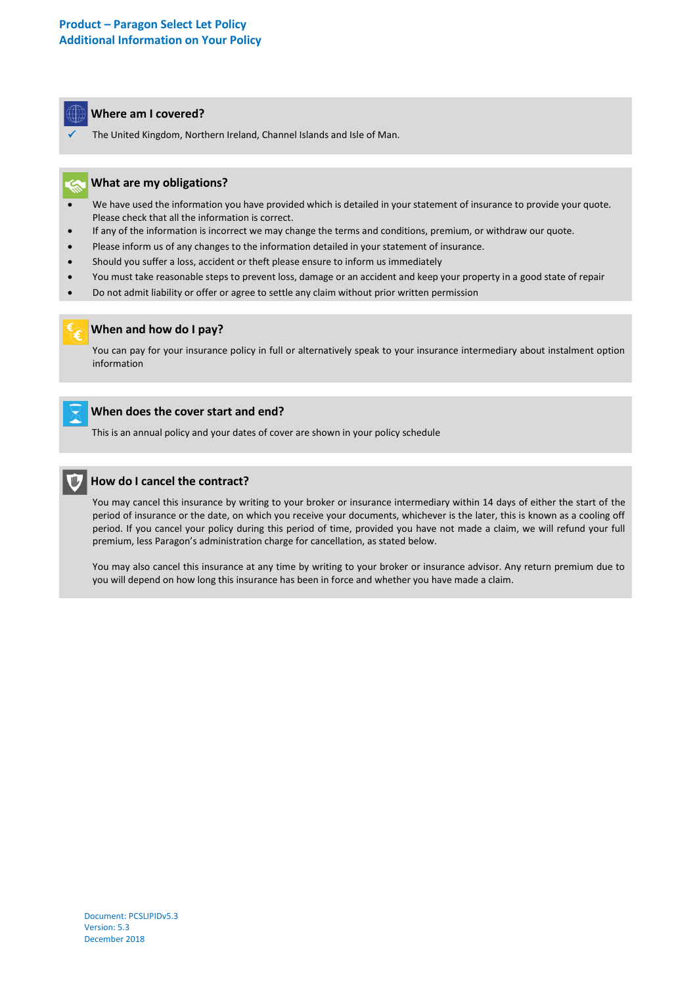

The United Kingdom, Northern Ireland, Channel Islands and Isle of Man.

## **What are my obligations?**

- We have used the information you have provided which is detailed in your statement of insurance to provide your quote. Please check that all the information is correct.
- If any of the information is incorrect we may change the terms and conditions, premium, or withdraw our quote.
- Please inform us of any changes to the information detailed in your statement of insurance.
- Should you suffer a loss, accident or theft please ensure to inform us immediately
- You must take reasonable steps to prevent loss, damage or an accident and keep your property in a good state of repair
- Do not admit liability or offer or agree to settle any claim without prior written permission



 $\overline{a}$ 

## **When and how do I pay?**

You can pay for your insurance policy in full or alternatively speak to your insurance intermediary about instalment option information



l

# **When does the cover start and end?**

This is an annual policy and your dates of cover are shown in your policy schedule



You may cancel this insurance by writing to your broker or insurance intermediary within 14 days of either the start of the period of insurance or the date, on which you receive your documents, whichever is the later, this is known as a cooling off period. If you cancel your policy during this period of time, provided you have not made a claim, we will refund your full premium, less Paragon's administration charge for cancellation, as stated below.

You may also cancel this insurance at any time by writing to your broker or insurance advisor. Any return premium due to you will depend on how long this insurance has been in force and whether you have made a claim.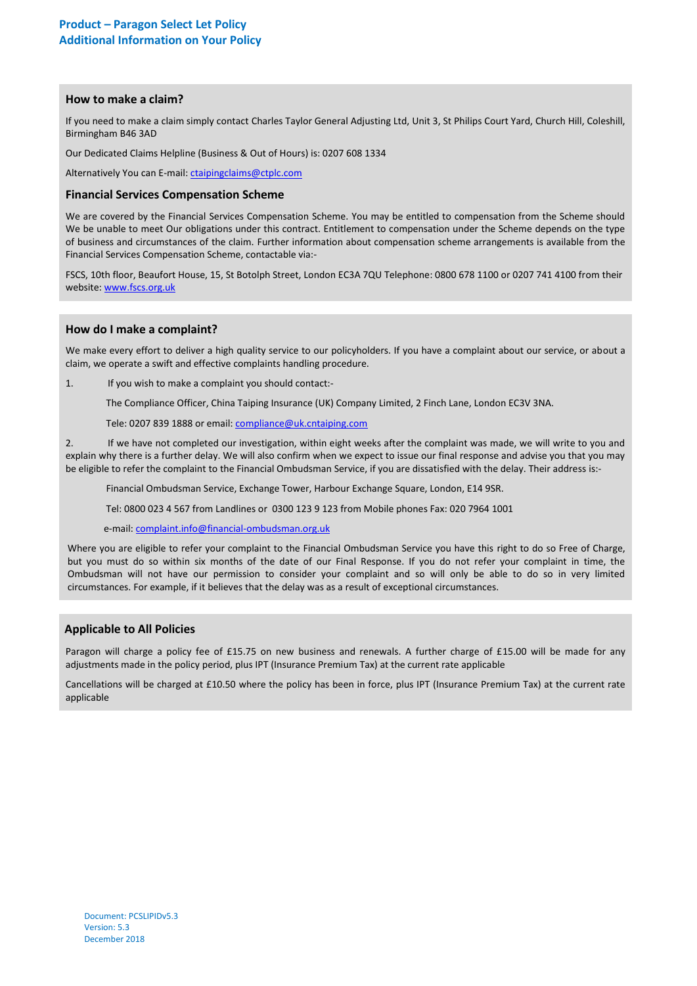### **How to make a claim?**

If you need to make a claim simply contact Charles Taylor General Adjusting Ltd, Unit 3, St Philips Court Yard, Church Hill, Coleshill, Birmingham B46 3AD

Our Dedicated Claims Helpline (Business & Out of Hours) is: 0207 608 1334

Alternatively You can E-mail: [ctaipingclaims@ctplc.com](mailto:ctaipingclaims@ctplc.com)

#### **Financial Services Compensation Scheme**

We are covered by the Financial Services Compensation Scheme. You may be entitled to compensation from the Scheme should We be unable to meet Our obligations under this contract. Entitlement to compensation under the Scheme depends on the type of business and circumstances of the claim. Further information about compensation scheme arrangements is available from the Financial Services Compensation Scheme, contactable via:-

FSCS, 10th floor, Beaufort House, 15, St Botolph Street, London EC3A 7QU Telephone: 0800 678 1100 or 0207 741 4100 from their website[: www.fscs.org.uk](http://www.fscs.org.uk/)

#### l **How do I make a complaint?**

We make every effort to deliver a high quality service to our policyholders. If you have a complaint about our service, or about a claim, we operate a swift and effective complaints handling procedure.

1. If you wish to make a complaint you should contact:-

The Compliance Officer, China Taiping Insurance (UK) Company Limited, 2 Finch Lane, London EC3V 3NA.

Tele: 0207 839 1888 or email[: compliance@uk.cntaiping.com](mailto:compliance@uk.cntaiping.com)

2. If we have not completed our investigation, within eight weeks after the complaint was made, we will write to you and explain why there is a further delay. We will also confirm when we expect to issue our final response and advise you that you may be eligible to refer the complaint to the Financial Ombudsman Service, if you are dissatisfied with the delay. Their address is:-

Financial Ombudsman Service, Exchange Tower, Harbour Exchange Square, London, E14 9SR.

Tel: 0800 023 4 567 from Landlines or 0300 123 9 123 from Mobile phones Fax: 020 7964 1001

e-mail: [complaint.info@financial-ombudsman.org.uk](mailto:complaint.info@financial-ombudsman.org.uk)

Where you are eligible to refer your complaint to the Financial Ombudsman Service you have this right to do so Free of Charge, but you must do so within six months of the date of our Final Response. If you do not refer your complaint in time, the Ombudsman will not have our permission to consider your complaint and so will only be able to do so in very limited circumstances. For example, if it believes that the delay was as a result of exceptional circumstances.

# **Applicable to All Policies**

Paragon will charge a policy fee of £15.75 on new business and renewals. A further charge of £15.00 will be made for any adjustments made in the policy period, plus IPT (Insurance Premium Tax) at the current rate applicable

Cancellations will be charged at £10.50 where the policy has been in force, plus IPT (Insurance Premium Tax) at the current rate applicable